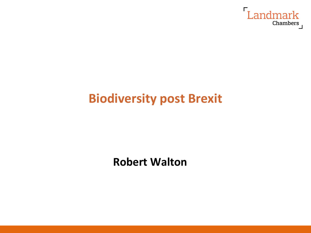

### **Biodiversity post Brexit**

**Robert Walton**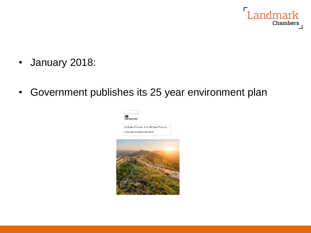

- January 2018:
- Government publishes its 25 year environment plan

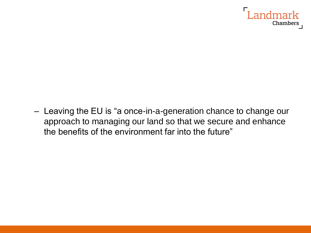

– Leaving the EU is "a once-in-a-generation chance to change our approach to managing our land so that we secure and enhance the benefits of the environment far into the future"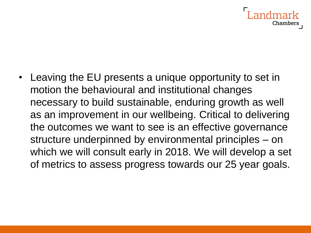

• Leaving the EU presents a unique opportunity to set in motion the behavioural and institutional changes necessary to build sustainable, enduring growth as well as an improvement in our wellbeing. Critical to delivering the outcomes we want to see is an effective governance structure underpinned by environmental principles – on which we will consult early in 2018. We will develop a set of metrics to assess progress towards our 25 year goals.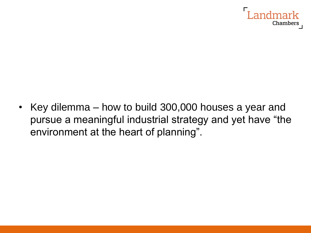

• Key dilemma – how to build 300,000 houses a year and pursue a meaningful industrial strategy and yet have "the environment at the heart of planning".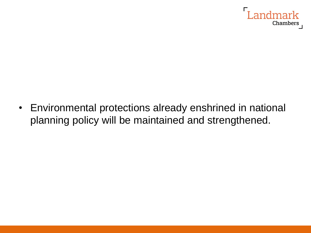

• Environmental protections already enshrined in national planning policy will be maintained and strengthened.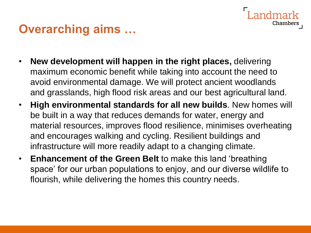#### **Overarching aims …**

• **New development will happen in the right places,** delivering maximum economic benefit while taking into account the need to avoid environmental damage. We will protect ancient woodlands and grasslands, high flood risk areas and our best agricultural land.

andmark

**Chambers** 

- **High environmental standards for all new builds**. New homes will be built in a way that reduces demands for water, energy and material resources, improves flood resilience, minimises overheating and encourages walking and cycling. Resilient buildings and infrastructure will more readily adapt to a changing climate.
- **Enhancement of the Green Belt** to make this land 'breathing space' for our urban populations to enjoy, and our diverse wildlife to flourish, while delivering the homes this country needs.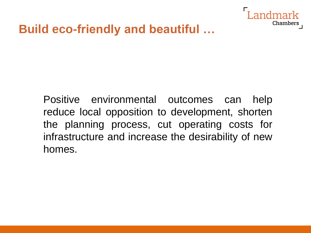

#### **Build eco-friendly and beautiful …**

Positive environmental outcomes can help reduce local opposition to development, shorten the planning process, cut operating costs for infrastructure and increase the desirability of new homes.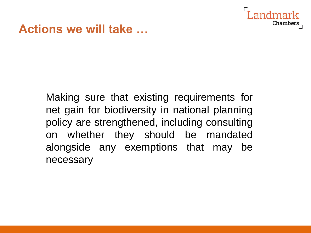

#### **Actions we will take …**

Making sure that existing requirements for net gain for biodiversity in national planning policy are strengthened, including consulting on whether they should be mandated alongside any exemptions that may be necessary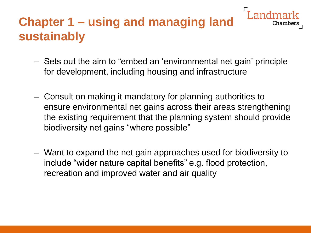# **Chapter 1 – using and managing land sustainably**

- Sets out the aim to "embed an 'environmental net gain' principle for development, including housing and infrastructure
- Consult on making it mandatory for planning authorities to ensure environmental net gains across their areas strengthening the existing requirement that the planning system should provide biodiversity net gains "where possible"
- Want to expand the net gain approaches used for biodiversity to include "wider nature capital benefits" e.g. flood protection, recreation and improved water and air quality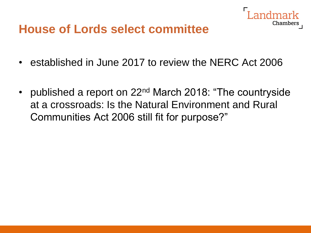

### **House of Lords select committee**

- established in June 2017 to review the NERC Act 2006
- published a report on 22<sup>nd</sup> March 2018: "The countryside at a crossroads: Is the Natural Environment and Rural Communities Act 2006 still fit for purpose?"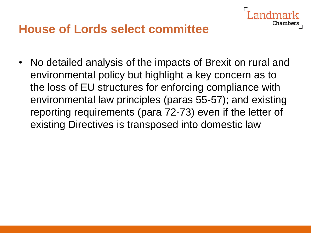#### **House of Lords select committee**

• No detailed analysis of the impacts of Brexit on rural and environmental policy but highlight a key concern as to the loss of EU structures for enforcing compliance with environmental law principles (paras 55-57); and existing reporting requirements (para 72-73) even if the letter of existing Directives is transposed into domestic law

Chamber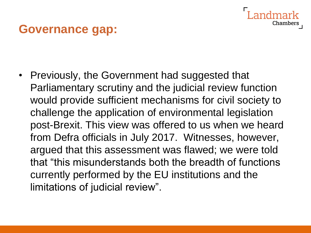#### **Governance gap:**

• Previously, the Government had suggested that Parliamentary scrutiny and the judicial review function would provide sufficient mechanisms for civil society to challenge the application of environmental legislation post-Brexit. This view was offered to us when we heard from Defra officials in July 2017. Witnesses, however, argued that this assessment was flawed; we were told that "this misunderstands both the breadth of functions currently performed by the EU institutions and the limitations of judicial review".

Chamber: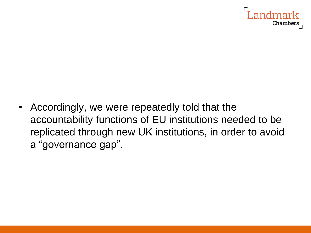

• Accordingly, we were repeatedly told that the accountability functions of EU institutions needed to be replicated through new UK institutions, in order to avoid a "governance gap".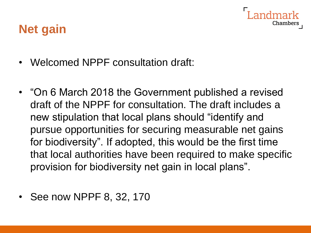

### **Net gain**

- Welcomed NPPF consultation draft:
- "On 6 March 2018 the Government published a revised draft of the NPPF for consultation. The draft includes a new stipulation that local plans should "identify and pursue opportunities for securing measurable net gains for biodiversity". If adopted, this would be the first time that local authorities have been required to make specific provision for biodiversity net gain in local plans".
- See now NPPF 8, 32, 170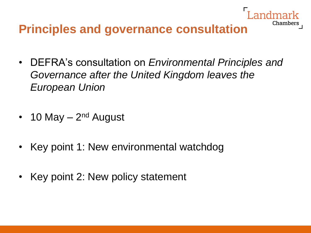## **Principles and governance consultation**

• DEFRA's consultation on *Environmental Principles and Governance after the United Kingdom leaves the European Union*

Chambers

- 10 May 2<sup>nd</sup> August
- Key point 1: New environmental watchdog
- Key point 2: New policy statement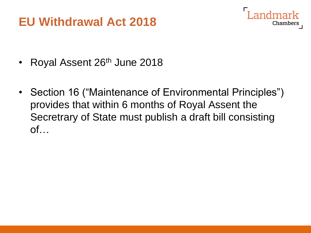### **EU Withdrawal Act 2018**



- Royal Assent 26<sup>th</sup> June 2018
- Section 16 ("Maintenance of Environmental Principles") provides that within 6 months of Royal Assent the Secretrary of State must publish a draft bill consisting of…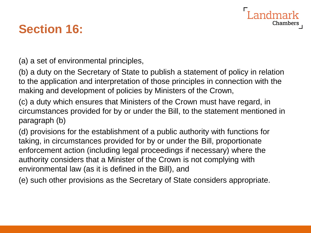### **Section 16:**

(a) a set of environmental principles,

(b) a duty on the Secretary of State to publish a statement of policy in relation to the application and interpretation of those principles in connection with the making and development of policies by Ministers of the Crown,

ndmark

Chambers

(c) a duty which ensures that Ministers of the Crown must have regard, in circumstances provided for by or under the Bill, to the statement mentioned in paragraph (b)

(d) provisions for the establishment of a public authority with functions for taking, in circumstances provided for by or under the Bill, proportionate enforcement action (including legal proceedings if necessary) where the authority considers that a Minister of the Crown is not complying with environmental law (as it is defined in the Bill), and

(e) such other provisions as the Secretary of State considers appropriate.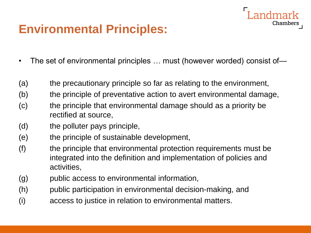### **Environmental Principles:**

• The set of environmental principles … must (however worded) consist of—

Chambers

- (a) the precautionary principle so far as relating to the environment,
- (b) the principle of preventative action to avert environmental damage,
- (c) the principle that environmental damage should as a priority be rectified at source,
- (d) the polluter pays principle,
- (e) the principle of sustainable development,
- (f) the principle that environmental protection requirements must be integrated into the definition and implementation of policies and activities,
- (g) public access to environmental information,
- (h) public participation in environmental decision-making, and
- (i) access to justice in relation to environmental matters.